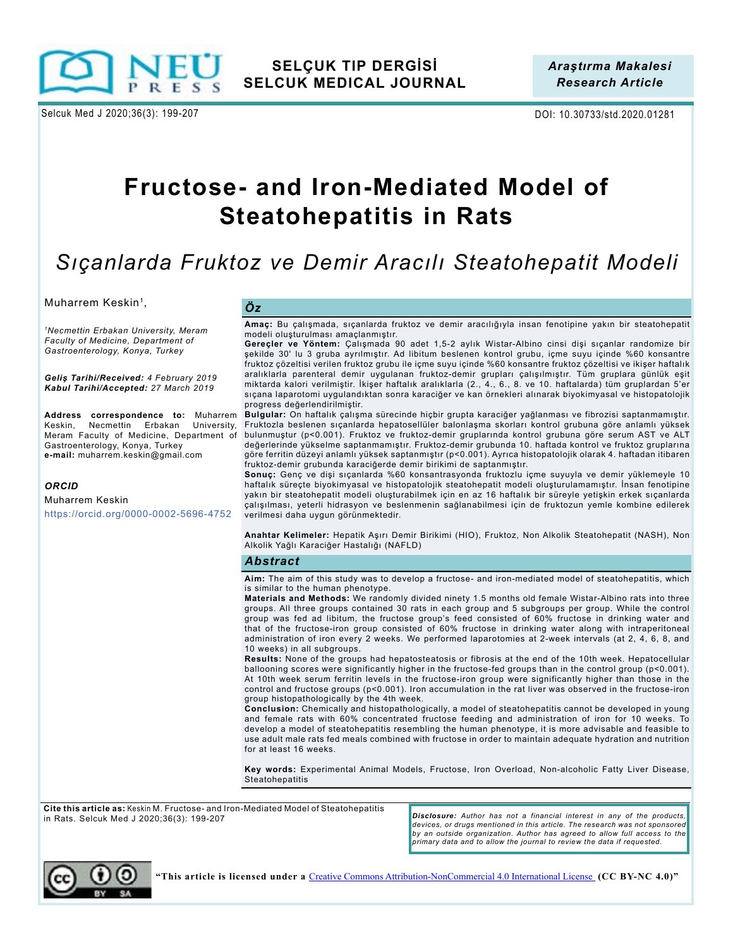

Selcuk Med J 2020;36(3): 199-207 DOI: 10.30733/std.2020.01281

# **Fructose- and Iron-Mediated Model of Steatohepatitis in Rats**

# *Sıçanlarda Fruktoz ve Demir Aracılı Steatohepatit Modeli*

Muharrem Keskin<sup>1</sup>,

*<sup>1</sup>Necmettin Erbakan University, Meram Faculty of Medicine, Department of Gastroenterology, Konya, Turkey*

*Geliş Tarihi/Received: 4 February 2019 Kabul Tarihi/Accepted: 27 March 2019*

Keskin, Necmettin Erbakan University, Gastroenterology, Konya, Turkey **e-mail:** muharrem.keskin@gmail.com

#### *ORCID*

Muharrem Keskin https://orcid.org/0000-0002-5696-4752

**Amaç:** Bu çalışmada, sıçanlarda fruktoz ve demir aracılığıyla insan fenotipine yakın bir steatohepatit modeli oluşturulması amaçlanmıştır.

**Gereçler ve Yöntem:** Çalışmada 90 adet 1,5-2 aylık Wistar-Albino cinsi dişi sıçanlar randomize bir şekilde 30' lu 3 gruba ayrılmıştır. Ad libitum beslenen kontrol grubu, içme suyu içinde %60 konsantre fruktoz çözeltisi verilen fruktoz grubu ile içme suyu içinde %60 konsantre fruktoz çözeltisi ve ikişer haftalık aralıklarla parenteral demir uygulanan fruktoz-demir grupları çalışılmıştır. Tüm gruplara günlük eşit miktarda kalori verilmiştir. İkişer haftalık aralıklarla (2., 4., 6., 8. ve 10. haftalarda) tüm gruplardan 5'er sıçana laparotomi uygulandıktan sonra karaciğer ve kan örnekleri alınarak biyokimyasal ve histopatolojik progress değerlendirilmiştir.

**Address correspondence to:** Muharrem Bulgular: On haftalık çalışma sürecinde hiçbir grupta karaciğer yağlanması ve fibrozisi saptanmamıştır. Fruktozla beslenen sıçanlarda hepatosellüler balonlaşma skorları kontrol grubuna göre anlamlı yüksek Meram Faculty of Medicine, Department of bulunmuştur (p<0.001). Fruktoz ve fruktoz-demir gruplarında kontrol grubuna göre serum AST ve ALT değerlerinde yükselme saptanmamıştır. Fruktoz-demir grubunda 10. haftada kontrol ve fruktoz gruplarına göre ferritin düzeyi anlamlı yüksek saptanmıştır (p<0.001). Ayrıca histopatolojik olarak 4. haftadan itibaren fruktoz-demir grubunda karaciğerde demir birikimi de saptanmıştır.

**Sonuç:** Genç ve dişi sıçanlarda %60 konsantrasyonda fruktozlu içme suyuyla ve demir yüklemeyle 10 haftalık süreçte biyokimyasal ve histopatolojik steatohepatit modeli oluşturulamamıştır. İnsan fenotipine yakın bir steatohepatit modeli oluşturabilmek için en az 16 haftalık bir süreyle yetişkin erkek sıçanlarda çalışılması, yeterli hidrasyon ve beslenmenin sağlanabilmesi için de fruktozun yemle kombine edilerek verilmesi daha uygun görünmektedir.

**Anahtar Kelimeler:** Hepatik Aşırı Demir Birikimi (HIO), Fruktoz, Non Alkolik Steatohepatit (NASH), Non Alkolik Yağlı Karaciğer Hastalığı (NAFLD)

#### *Abstract*

**Aim:** The aim of this study was to develop a fructose- and iron-mediated model of steatohepatitis, which is similar to the human phenotype.

**Materials and Methods:** We randomly divided ninety 1.5 months old female Wistar-Albino rats into three groups. All three groups contained 30 rats in each group and 5 subgroups per group. While the control group was fed ad libitum, the fructose group's feed consisted of 60% fructose in drinking water and that of the fructose-iron group consisted of 60% fructose in drinking water along with intraperitoneal administration of iron every 2 weeks. We performed laparotomies at 2-week intervals (at 2, 4, 6, 8, and 10 weeks) in all subgroups.

**Results:** None of the groups had hepatosteatosis or fibrosis at the end of the 10th week. Hepatocellular ballooning scores were significantly higher in the fructose-fed groups than in the control group (p<0.001). At 10th week serum ferritin levels in the fructose-iron group were significantly higher than those in the control and fructose groups (p<0.001). Iron accumulation in the rat liver was observed in the fructose-iron group histopathologically by the 4th week.

**Conclusion:** Chemically and histopathologically, a model of steatohepatitis cannot be developed in young and female rats with 60% concentrated fructose feeding and administration of iron for 10 weeks. To develop a model of steatohepatitis resembling the human phenotype, it is more advisable and feasible to use adult male rats fed meals combined with fructose in order to maintain adequate hydration and nutrition for at least 16 weeks.

**Key words:** Experimental Animal Models, Fructose, Iron Overload, Non-alcoholic Fatty Liver Disease, **Steatohepatitis** 

**Cite this article as:** Keskin M. Fructose- and Iron-Mediated Model of Steatohepatitis in Rats. Selcuk Med J 2020;36(3): 199-207

*Disclosure: Author has not a financial interest in any of the products, devices, or drugs mentioned in this article. The research was not sponsored by an outside organization. Author has agreed to allow full access to the primary data and to allow the journal to review the data if requested.*

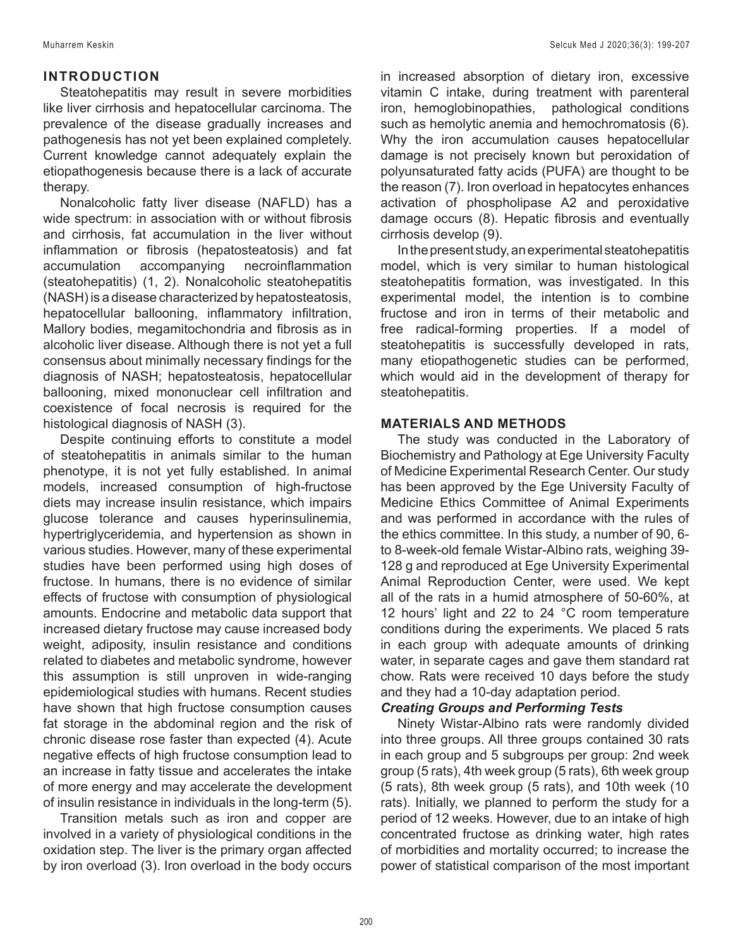## **INTRODUCTION**

Steatohepatitis may result in severe morbidities like liver cirrhosis and hepatocellular carcinoma. The prevalence of the disease gradually increases and pathogenesis has not yet been explained completely. Current knowledge cannot adequately explain the etiopathogenesis because there is a lack of accurate therapy.

Nonalcoholic fatty liver disease (NAFLD) has a wide spectrum: in association with or without fibrosis and cirrhosis, fat accumulation in the liver without inflammation or fibrosis (hepatosteatosis) and fat accumulation accompanying necroinflammation (steatohepatitis) (1, 2). Nonalcoholic steatohepatitis (NASH) is a disease characterized by hepatosteatosis, hepatocellular ballooning, inflammatory infiltration, Mallory bodies, megamitochondria and fibrosis as in alcoholic liver disease. Although there is not yet a full consensus about minimally necessary findings for the diagnosis of NASH; hepatosteatosis, hepatocellular ballooning, mixed mononuclear cell infiltration and coexistence of focal necrosis is required for the histological diagnosis of NASH (3).

Despite continuing efforts to constitute a model of steatohepatitis in animals similar to the human phenotype, it is not yet fully established. In animal models, increased consumption of high-fructose diets may increase insulin resistance, which impairs glucose tolerance and causes hyperinsulinemia, hypertriglyceridemia, and hypertension as shown in various studies. However, many of these experimental studies have been performed using high doses of fructose. In humans, there is no evidence of similar effects of fructose with consumption of physiological amounts. Endocrine and metabolic data support that increased dietary fructose may cause increased body weight, adiposity, insulin resistance and conditions related to diabetes and metabolic syndrome, however this assumption is still unproven in wide-ranging epidemiological studies with humans. Recent studies have shown that high fructose consumption causes fat storage in the abdominal region and the risk of chronic disease rose faster than expected (4). Acute negative effects of high fructose consumption lead to an increase in fatty tissue and accelerates the intake of more energy and may accelerate the development of insulin resistance in individuals in the long-term (5).

Transition metals such as iron and copper are involved in a variety of physiological conditions in the oxidation step. The liver is the primary organ affected by iron overload (3). Iron overload in the body occurs

in increased absorption of dietary iron, excessive vitamin C intake, during treatment with parenteral iron, hemoglobinopathies, pathological conditions such as hemolytic anemia and hemochromatosis (6). Why the iron accumulation causes hepatocellular damage is not precisely known but peroxidation of polyunsaturated fatty acids (PUFA) are thought to be the reason (7). Iron overload in hepatocytes enhances activation of phospholipase A2 and peroxidative damage occurs (8). Hepatic fibrosis and eventually cirrhosis develop (9).

In the present study, an experimental steatohepatitis model, which is very similar to human histological steatohepatitis formation, was investigated. In this experimental model, the intention is to combine fructose and iron in terms of their metabolic and free radical-forming properties. If a model of steatohepatitis is successfully developed in rats, many etiopathogenetic studies can be performed, which would aid in the development of therapy for steatohepatitis.

## **MATERIALS AND METHODS**

The study was conducted in the Laboratory of Biochemistry and Pathology at Ege University Faculty of Medicine Experimental Research Center. Our study has been approved by the Ege University Faculty of Medicine Ethics Committee of Animal Experiments and was performed in accordance with the rules of the ethics committee. In this study, a number of 90, 6 to 8-week-old female Wistar-Albino rats, weighing 39- 128 g and reproduced at Ege University Experimental Animal Reproduction Center, were used. We kept all of the rats in a humid atmosphere of 50-60%, at 12 hours' light and 22 to 24 °C room temperature conditions during the experiments. We placed 5 rats in each group with adequate amounts of drinking water, in separate cages and gave them standard rat chow. Rats were received 10 days before the study and they had a 10-day adaptation period.

## *Creating Groups and Performing Tests*

Ninety Wistar-Albino rats were randomly divided into three groups. All three groups contained 30 rats in each group and 5 subgroups per group: 2nd week group (5 rats), 4th week group (5 rats), 6th week group (5 rats), 8th week group (5 rats), and 10th week (10 rats). Initially, we planned to perform the study for a period of 12 weeks. However, due to an intake of high concentrated fructose as drinking water, high rates of morbidities and mortality occurred; to increase the power of statistical comparison of the most important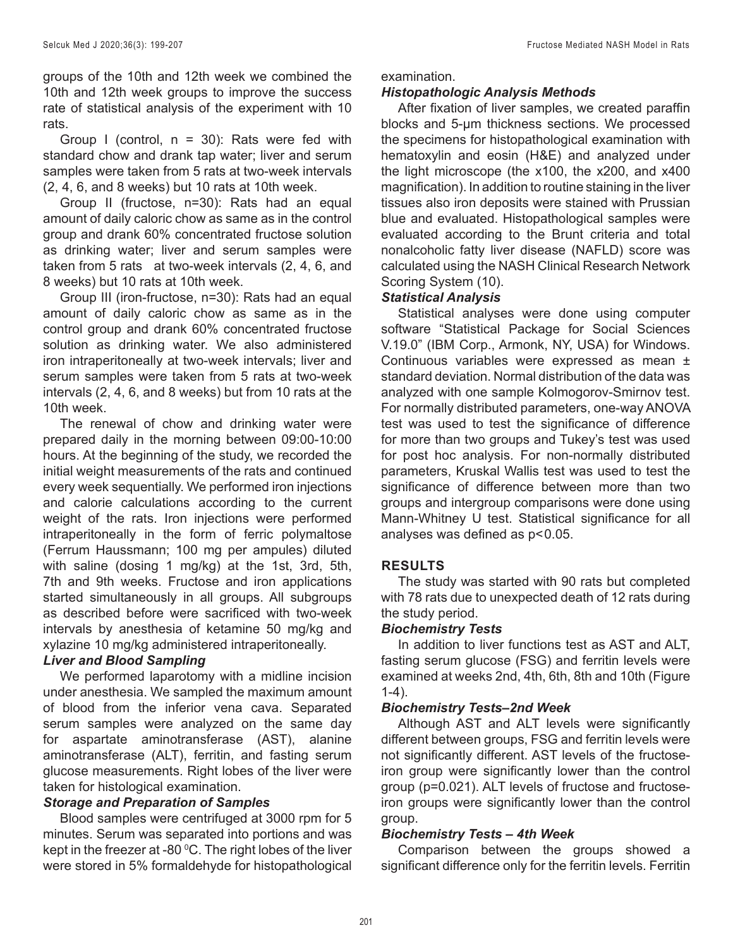groups of the 10th and 12th week we combined the 10th and 12th week groups to improve the success rate of statistical analysis of the experiment with 10 rats.

Group I (control,  $n = 30$ ): Rats were fed with standard chow and drank tap water; liver and serum samples were taken from 5 rats at two-week intervals (2, 4, 6, and 8 weeks) but 10 rats at 10th week.

Group II (fructose, n=30): Rats had an equal amount of daily caloric chow as same as in the control group and drank 60% concentrated fructose solution as drinking water; liver and serum samples were taken from 5 rats at two-week intervals (2, 4, 6, and 8 weeks) but 10 rats at 10th week.

Group III (iron-fructose, n=30): Rats had an equal amount of daily caloric chow as same as in the control group and drank 60% concentrated fructose solution as drinking water. We also administered iron intraperitoneally at two-week intervals; liver and serum samples were taken from 5 rats at two-week intervals (2, 4, 6, and 8 weeks) but from 10 rats at the 10th week.

The renewal of chow and drinking water were prepared daily in the morning between 09:00-10:00 hours. At the beginning of the study, we recorded the initial weight measurements of the rats and continued every week sequentially. We performed iron injections and calorie calculations according to the current weight of the rats. Iron injections were performed intraperitoneally in the form of ferric polymaltose (Ferrum Haussmann; 100 mg per ampules) diluted with saline (dosing 1 mg/kg) at the 1st, 3rd, 5th, 7th and 9th weeks. Fructose and iron applications started simultaneously in all groups. All subgroups as described before were sacrificed with two-week intervals by anesthesia of ketamine 50 mg/kg and xylazine 10 mg/kg administered intraperitoneally.

## *Liver and Blood Sampling*

We performed laparotomy with a midline incision under anesthesia. We sampled the maximum amount of blood from the inferior vena cava. Separated serum samples were analyzed on the same day for aspartate aminotransferase (AST), alanine aminotransferase (ALT), ferritin, and fasting serum glucose measurements. Right lobes of the liver were taken for histological examination.

## *Storage and Preparation of Samples*

Blood samples were centrifuged at 3000 rpm for 5 minutes. Serum was separated into portions and was kept in the freezer at -80  $^{\rm o}{\rm C}.$  The right lobes of the liver were stored in 5% formaldehyde for histopathological

examination.

## *Histopathologic Analysis Methods*

After fixation of liver samples, we created paraffin blocks and 5-μm thickness sections. We processed the specimens for histopathological examination with hematoxylin and eosin (H&E) and analyzed under the light microscope (the x100, the x200, and x400 magnification). In addition to routine staining in the liver tissues also iron deposits were stained with Prussian blue and evaluated. Histopathological samples were evaluated according to the Brunt criteria and total nonalcoholic fatty liver disease (NAFLD) score was calculated using the NASH Clinical Research Network Scoring System (10).

## *Statistical Analysis*

Statistical analyses were done using computer software "Statistical Package for Social Sciences V.19.0" (IBM Corp., Armonk, NY, USA) for Windows. Continuous variables were expressed as mean ± standard deviation. Normal distribution of the data was analyzed with one sample Kolmogorov-Smirnov test. For normally distributed parameters, one-way ANOVA test was used to test the significance of difference for more than two groups and Tukey's test was used for post hoc analysis. For non-normally distributed parameters, Kruskal Wallis test was used to test the significance of difference between more than two groups and intergroup comparisons were done using Mann-Whitney U test. Statistical significance for all analyses was defined as  $p < 0.05$ .

## **RESULTS**

The study was started with 90 rats but completed with 78 rats due to unexpected death of 12 rats during the study period.

## *Biochemistry Tests*

In addition to liver functions test as AST and ALT, fasting serum glucose (FSG) and ferritin levels were examined at weeks 2nd, 4th, 6th, 8th and 10th (Figure 1-4).

## *Biochemistry Tests–2nd Week*

Although AST and ALT levels were significantly different between groups, FSG and ferritin levels were not significantly different. AST levels of the fructoseiron group were significantly lower than the control group (p=0.021). ALT levels of fructose and fructoseiron groups were significantly lower than the control group.

## *Biochemistry Tests – 4th Week*

Comparison between the groups showed a significant difference only for the ferritin levels. Ferritin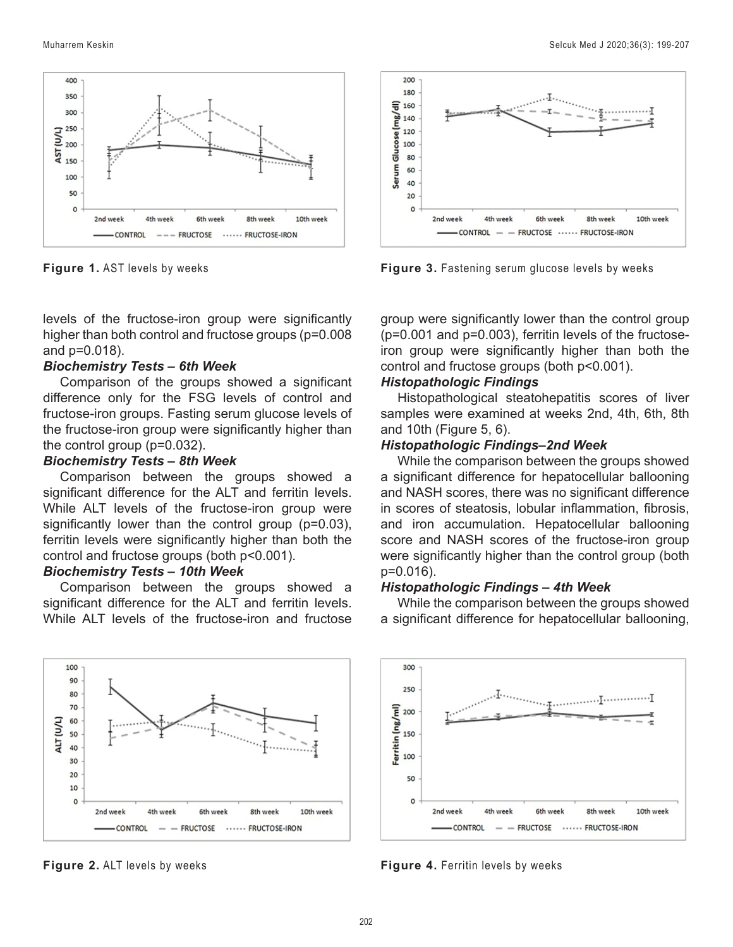

**Figure 1.** AST levels by weeks

levels of the fructose-iron group were significantly higher than both control and fructose groups (p=0.008 and p=0.018).

#### *Biochemistry Tests – 6th Week*

Comparison of the groups showed a significant difference only for the FSG levels of control and fructose-iron groups. Fasting serum glucose levels of the fructose-iron group were significantly higher than the control group (p=0.032).

## *Biochemistry Tests – 8th Week*

Comparison between the groups showed a significant difference for the ALT and ferritin levels. While ALT levels of the fructose-iron group were significantly lower than the control group (p=0.03), ferritin levels were significantly higher than both the control and fructose groups (both p<0.001).

## *Biochemistry Tests – 10th Week*

Comparison between the groups showed a significant difference for the ALT and ferritin levels. While ALT levels of the fructose-iron and fructose



**Figure 2.** ALT levels by weeks



**Figure 3.** Fastening serum glucose levels by weeks

group were significantly lower than the control group (p=0.001 and p=0.003), ferritin levels of the fructoseiron group were significantly higher than both the control and fructose groups (both p<0.001).

#### *Histopathologic Findings*

Histopathological steatohepatitis scores of liver samples were examined at weeks 2nd, 4th, 6th, 8th and 10th (Figure 5, 6).

#### *Histopathologic Findings–2nd Week*

While the comparison between the groups showed a significant difference for hepatocellular ballooning and NASH scores, there was no significant difference in scores of steatosis, lobular inflammation, fibrosis, and iron accumulation. Hepatocellular ballooning score and NASH scores of the fructose-iron group were significantly higher than the control group (both p=0.016).

#### *Histopathologic Findings – 4th Week*

While the comparison between the groups showed a significant difference for hepatocellular ballooning,



**Figure 4.** Ferritin levels by weeks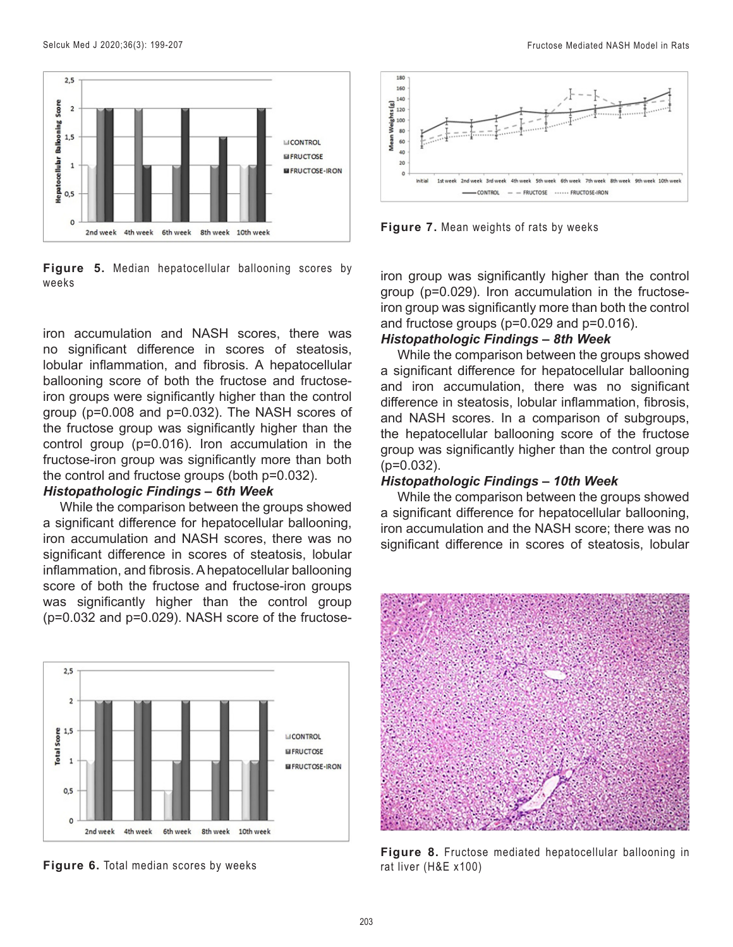

**Figure 5.** Median hepatocellular ballooning scores by weeks

iron accumulation and NASH scores, there was no significant difference in scores of steatosis, lobular inflammation, and fibrosis. A hepatocellular ballooning score of both the fructose and fructoseiron groups were significantly higher than the control group (p=0.008 and p=0.032). The NASH scores of the fructose group was significantly higher than the control group (p=0.016). Iron accumulation in the fructose-iron group was significantly more than both the control and fructose groups (both p=0.032).

#### *Histopathologic Findings – 6th Week*

While the comparison between the groups showed a significant difference for hepatocellular ballooning, iron accumulation and NASH scores, there was no significant difference in scores of steatosis, lobular inflammation, and fibrosis. A hepatocellular ballooning score of both the fructose and fructose-iron groups was significantly higher than the control group (p=0.032 and p=0.029). NASH score of the fructose-



**Figure 6.** Total median scores by weeks



**Figure 7.** Mean weights of rats by weeks

iron group was significantly higher than the control group (p=0.029). Iron accumulation in the fructoseiron group was significantly more than both the control and fructose groups (p=0.029 and p=0.016).

## *Histopathologic Findings – 8th Week*

While the comparison between the groups showed a significant difference for hepatocellular ballooning and iron accumulation, there was no significant difference in steatosis, lobular inflammation, fibrosis, and NASH scores. In a comparison of subgroups, the hepatocellular ballooning score of the fructose group was significantly higher than the control group (p=0.032).

#### *Histopathologic Findings – 10th Week*

While the comparison between the groups showed a significant difference for hepatocellular ballooning, iron accumulation and the NASH score; there was no significant difference in scores of steatosis, lobular



**Figure 8.** Fructose mediated hepatocellular ballooning in rat liver (H&E x100)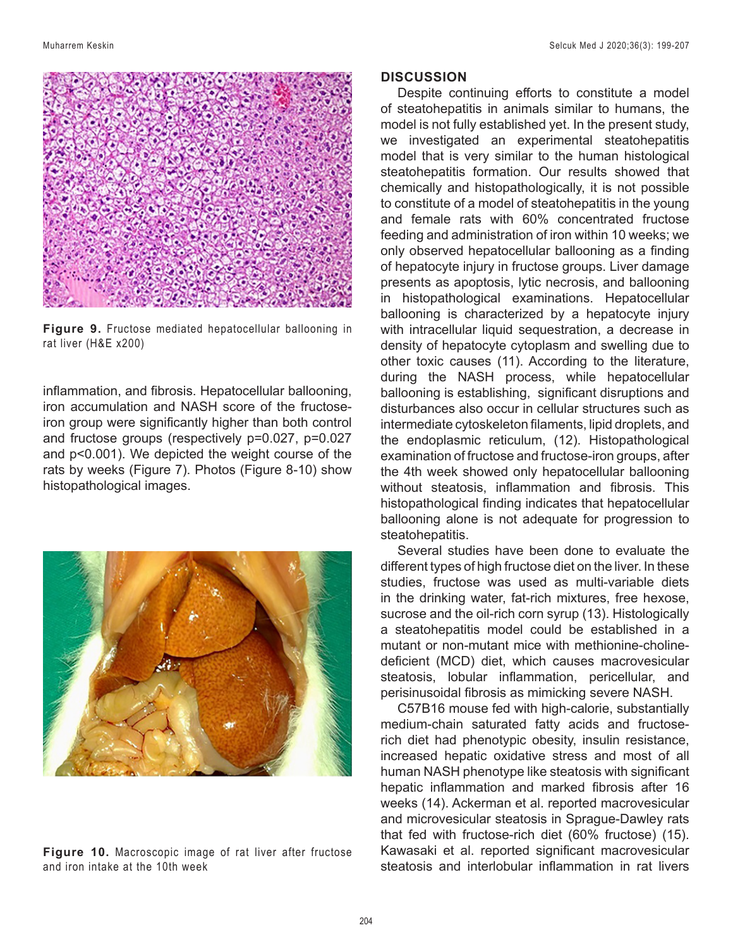

**Figure 9.** Fructose mediated hepatocellular ballooning in rat liver (H&E x200)

inflammation, and fibrosis. Hepatocellular ballooning, iron accumulation and NASH score of the fructoseiron group were significantly higher than both control and fructose groups (respectively p=0.027, p=0.027 and p<0.001). We depicted the weight course of the rats by weeks (Figure 7). Photos (Figure 8-10) show histopathological images.



**Figure 10.** Macroscopic image of rat liver after fructose and iron intake at the 10th week

#### **DISCUSSION**

Despite continuing efforts to constitute a model of steatohepatitis in animals similar to humans, the model is not fully established yet. In the present study, we investigated an experimental steatohepatitis model that is very similar to the human histological steatohepatitis formation. Our results showed that chemically and histopathologically, it is not possible to constitute of a model of steatohepatitis in the young and female rats with 60% concentrated fructose feeding and administration of iron within 10 weeks; we only observed hepatocellular ballooning as a finding of hepatocyte injury in fructose groups. Liver damage presents as apoptosis, lytic necrosis, and ballooning in histopathological examinations. Hepatocellular ballooning is characterized by a hepatocyte injury with intracellular liquid sequestration, a decrease in density of hepatocyte cytoplasm and swelling due to other toxic causes (11). According to the literature, during the NASH process, while hepatocellular ballooning is establishing, significant disruptions and disturbances also occur in cellular structures such as intermediate cytoskeleton filaments, lipid droplets, and the endoplasmic reticulum, (12). Histopathological examination of fructose and fructose-iron groups, after the 4th week showed only hepatocellular ballooning without steatosis, inflammation and fibrosis. This histopathological finding indicates that hepatocellular ballooning alone is not adequate for progression to steatohepatitis.

Several studies have been done to evaluate the different types of high fructose diet on the liver. In these studies, fructose was used as multi-variable diets in the drinking water, fat-rich mixtures, free hexose, sucrose and the oil-rich corn syrup (13). Histologically a steatohepatitis model could be established in a mutant or non-mutant mice with methionine-cholinedeficient (MCD) diet, which causes macrovesicular steatosis, lobular inflammation, pericellular, and perisinusoidal fibrosis as mimicking severe NASH.

C57B16 mouse fed with high-calorie, substantially medium-chain saturated fatty acids and fructoserich diet had phenotypic obesity, insulin resistance, increased hepatic oxidative stress and most of all human NASH phenotype like steatosis with significant hepatic inflammation and marked fibrosis after 16 weeks (14). Ackerman et al. reported macrovesicular and microvesicular steatosis in Sprague-Dawley rats that fed with fructose-rich diet (60% fructose) (15). Kawasaki et al. reported significant macrovesicular steatosis and interlobular inflammation in rat livers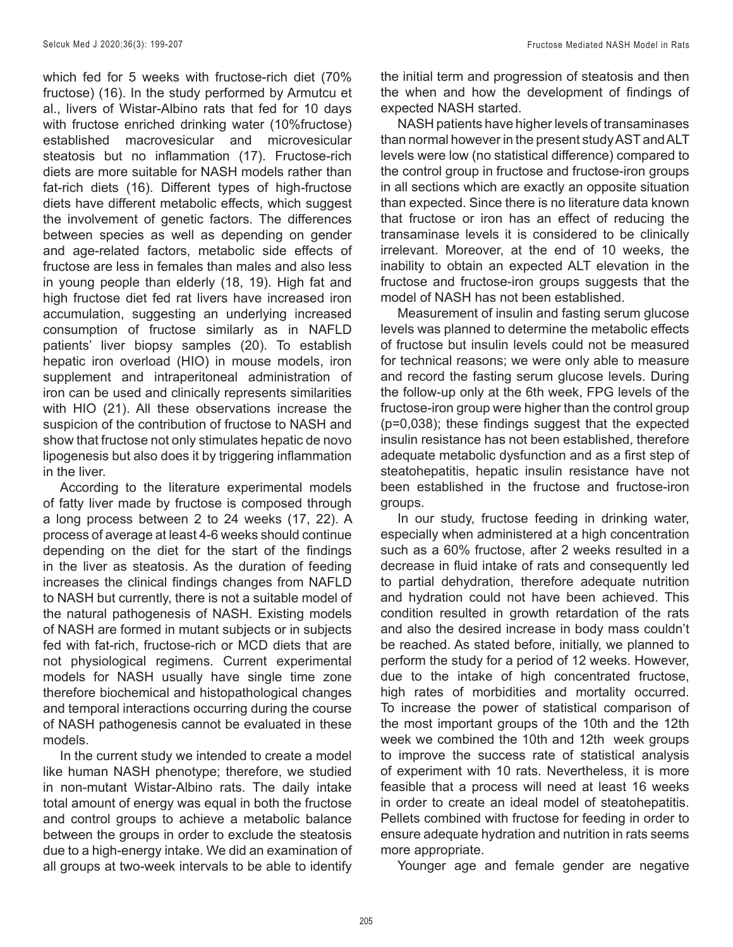which fed for 5 weeks with fructose-rich diet (70% fructose) (16). In the study performed by Armutcu et al., livers of Wistar-Albino rats that fed for 10 days with fructose enriched drinking water (10%fructose) established macrovesicular and microvesicular steatosis but no inflammation (17). Fructose-rich diets are more suitable for NASH models rather than fat-rich diets (16). Different types of high-fructose diets have different metabolic effects, which suggest the involvement of genetic factors. The differences between species as well as depending on gender and age-related factors, metabolic side effects of fructose are less in females than males and also less in young people than elderly (18, 19). High fat and high fructose diet fed rat livers have increased iron accumulation, suggesting an underlying increased consumption of fructose similarly as in NAFLD patients' liver biopsy samples (20). To establish hepatic iron overload (HIO) in mouse models, iron supplement and intraperitoneal administration of iron can be used and clinically represents similarities with HIO (21). All these observations increase the suspicion of the contribution of fructose to NASH and show that fructose not only stimulates hepatic de novo lipogenesis but also does it by triggering inflammation in the liver.

According to the literature experimental models of fatty liver made by fructose is composed through a long process between 2 to 24 weeks (17, 22). A process of average at least 4-6 weeks should continue depending on the diet for the start of the findings in the liver as steatosis. As the duration of feeding increases the clinical findings changes from NAFLD to NASH but currently, there is not a suitable model of the natural pathogenesis of NASH. Existing models of NASH are formed in mutant subjects or in subjects fed with fat-rich, fructose-rich or MCD diets that are not physiological regimens. Current experimental models for NASH usually have single time zone therefore biochemical and histopathological changes and temporal interactions occurring during the course of NASH pathogenesis cannot be evaluated in these models.

In the current study we intended to create a model like human NASH phenotype; therefore, we studied in non-mutant Wistar-Albino rats. The daily intake total amount of energy was equal in both the fructose and control groups to achieve a metabolic balance between the groups in order to exclude the steatosis due to a high-energy intake. We did an examination of all groups at two-week intervals to be able to identify the initial term and progression of steatosis and then the when and how the development of findings of expected NASH started.

NASH patients have higher levels of transaminases than normal however in the present study AST and ALT levels were low (no statistical difference) compared to the control group in fructose and fructose-iron groups in all sections which are exactly an opposite situation than expected. Since there is no literature data known that fructose or iron has an effect of reducing the transaminase levels it is considered to be clinically irrelevant. Moreover, at the end of 10 weeks, the inability to obtain an expected ALT elevation in the fructose and fructose-iron groups suggests that the model of NASH has not been established.

Measurement of insulin and fasting serum glucose levels was planned to determine the metabolic effects of fructose but insulin levels could not be measured for technical reasons; we were only able to measure and record the fasting serum glucose levels. During the follow-up only at the 6th week, FPG levels of the fructose-iron group were higher than the control group (p=0,038); these findings suggest that the expected insulin resistance has not been established, therefore adequate metabolic dysfunction and as a first step of steatohepatitis, hepatic insulin resistance have not been established in the fructose and fructose-iron groups.

In our study, fructose feeding in drinking water, especially when administered at a high concentration such as a 60% fructose, after 2 weeks resulted in a decrease in fluid intake of rats and consequently led to partial dehydration, therefore adequate nutrition and hydration could not have been achieved. This condition resulted in growth retardation of the rats and also the desired increase in body mass couldn't be reached. As stated before, initially, we planned to perform the study for a period of 12 weeks. However, due to the intake of high concentrated fructose, high rates of morbidities and mortality occurred. To increase the power of statistical comparison of the most important groups of the 10th and the 12th week we combined the 10th and 12th week groups to improve the success rate of statistical analysis of experiment with 10 rats. Nevertheless, it is more feasible that a process will need at least 16 weeks in order to create an ideal model of steatohepatitis. Pellets combined with fructose for feeding in order to ensure adequate hydration and nutrition in rats seems more appropriate.

Younger age and female gender are negative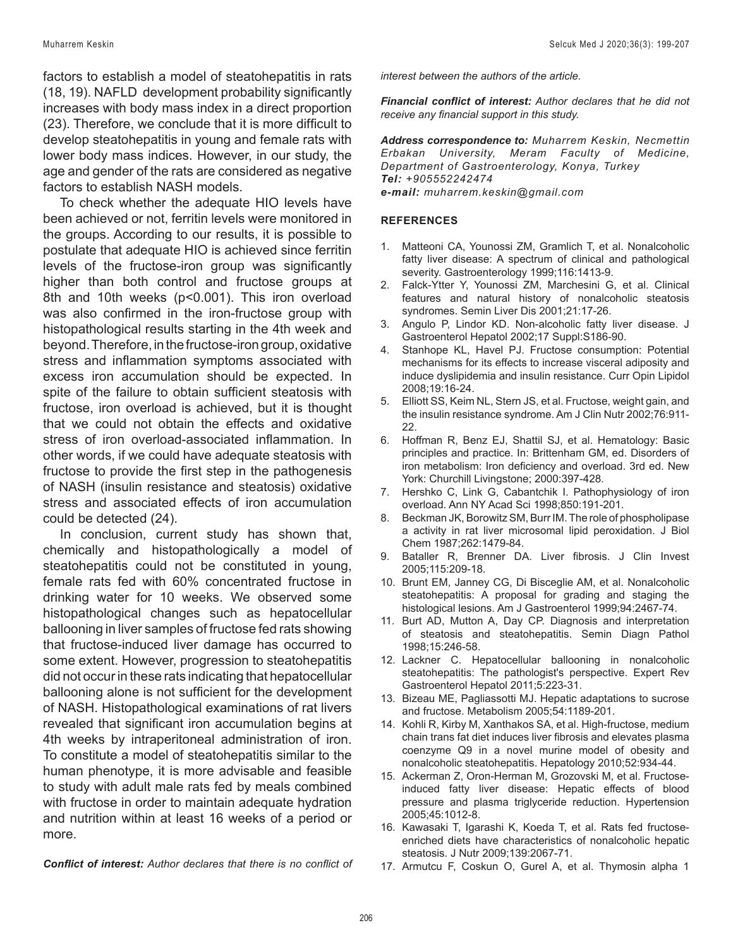Muharrem Keskin Selcuk Med J 2020;36(3): 199-207

factors to establish a model of steatohepatitis in rats (18, 19). NAFLD development probability significantly increases with body mass index in a direct proportion (23). Therefore, we conclude that it is more difficult to develop steatohepatitis in young and female rats with lower body mass indices. However, in our study, the age and gender of the rats are considered as negative factors to establish NASH models.

To check whether the adequate HIO levels have been achieved or not, ferritin levels were monitored in the groups. According to our results, it is possible to postulate that adequate HIO is achieved since ferritin levels of the fructose-iron group was significantly higher than both control and fructose groups at 8th and 10th weeks (p<0.001). This iron overload was also confirmed in the iron-fructose group with histopathological results starting in the 4th week and beyond. Therefore, in the fructose-iron group, oxidative stress and inflammation symptoms associated with excess iron accumulation should be expected. In spite of the failure to obtain sufficient steatosis with fructose, iron overload is achieved, but it is thought that we could not obtain the effects and oxidative stress of iron overload-associated inflammation. In other words, if we could have adequate steatosis with fructose to provide the first step in the pathogenesis of NASH (insulin resistance and steatosis) oxidative stress and associated effects of iron accumulation could be detected (24).

In conclusion, current study has shown that, chemically and histopathologically a model of steatohepatitis could not be constituted in young, female rats fed with 60% concentrated fructose in drinking water for 10 weeks. We observed some histopathological changes such as hepatocellular ballooning in liver samples of fructose fed rats showing that fructose-induced liver damage has occurred to some extent. However, progression to steatohepatitis did not occur in these rats indicating that hepatocellular ballooning alone is not sufficient for the development of NASH. Histopathological examinations of rat livers revealed that significant iron accumulation begins at 4th weeks by intraperitoneal administration of iron. To constitute a model of steatohepatitis similar to the human phenotype, it is more advisable and feasible to study with adult male rats fed by meals combined with fructose in order to maintain adequate hydration and nutrition within at least 16 weeks of a period or more.

*Conflict of interest: Author declares that there is no conflict of* 

*interest between the authors of the article.*

*Financial conflict of interest: Author declares that he did not receive any financial support in this study.*

*Address correspondence to: Muharrem Keskin, Necmettin Erbakan University, Meram Faculty of Medicine, Department of Gastroenterology, Konya, Turkey Tel: +905552242474 e-mail: muharrem.keskin@gmail.com*

#### **REFERENCES**

- 1. Matteoni CA, Younossi ZM, Gramlich T, et al. Nonalcoholic fatty liver disease: A spectrum of clinical and pathological severity. Gastroenterology 1999;116:1413-9.
- 2. Falck-Ytter Y, Younossi ZM, Marchesini G, et al. Clinical features and natural history of nonalcoholic steatosis syndromes. Semin Liver Dis 2001;21:17-26.
- 3. Angulo P, Lindor KD. Non-alcoholic fatty liver disease. J Gastroenterol Hepatol 2002;17 Suppl:S186-90.
- 4. Stanhope KL, Havel PJ. Fructose consumption: Potential mechanisms for its effects to increase visceral adiposity and induce dyslipidemia and insulin resistance. Curr Opin Lipidol 2008;19:16-24.
- 5. Elliott SS, Keim NL, Stern JS, et al. Fructose, weight gain, and the insulin resistance syndrome. Am J Clin Nutr 2002;76:911- 22.
- 6. Hoffman R, Benz EJ, Shattil SJ, et al. Hematology: Basic principles and practice. In: Brittenham GM, ed. Disorders of iron metabolism: Iron deficiency and overload. 3rd ed. New York: Churchill Livingstone; 2000:397-428.
- 7. Hershko C, Link G, Cabantchik I. Pathophysiology of iron overload. Ann NY Acad Sci 1998;850:191-201.
- 8. Beckman JK, Borowitz SM, Burr IM. The role of phospholipase a activity in rat liver microsomal lipid peroxidation. J Biol Chem 1987;262:1479-84.
- 9. Bataller R, Brenner DA. Liver fibrosis. J Clin Invest 2005;115:209-18.
- 10. Brunt EM, Janney CG, Di Bisceglie AM, et al. Nonalcoholic steatohepatitis: A proposal for grading and staging the histological lesions. Am J Gastroenterol 1999;94:2467-74.
- 11. Burt AD, Mutton A, Day CP. Diagnosis and interpretation of steatosis and steatohepatitis. Semin Diagn Pathol 1998;15:246-58.
- 12. Lackner C. Hepatocellular ballooning in nonalcoholic steatohepatitis: The pathologist's perspective. Expert Rev Gastroenterol Hepatol 2011;5:223-31.
- 13. Bizeau ME, Pagliassotti MJ. Hepatic adaptations to sucrose and fructose. Metabolism 2005;54:1189-201.
- 14. Kohli R, Kirby M, Xanthakos SA, et al. High-fructose, medium chain trans fat diet induces liver fibrosis and elevates plasma coenzyme Q9 in a novel murine model of obesity and nonalcoholic steatohepatitis. Hepatology 2010;52:934-44.
- 15. Ackerman Z, Oron-Herman M, Grozovski M, et al. Fructoseinduced fatty liver disease: Hepatic effects of blood pressure and plasma triglyceride reduction. Hypertension 2005;45:1012-8.
- 16. Kawasaki T, Igarashi K, Koeda T, et al. Rats fed fructoseenriched diets have characteristics of nonalcoholic hepatic steatosis. J Nutr 2009;139:2067-71.
- 17. Armutcu F, Coskun O, Gurel A, et al. Thymosin alpha 1